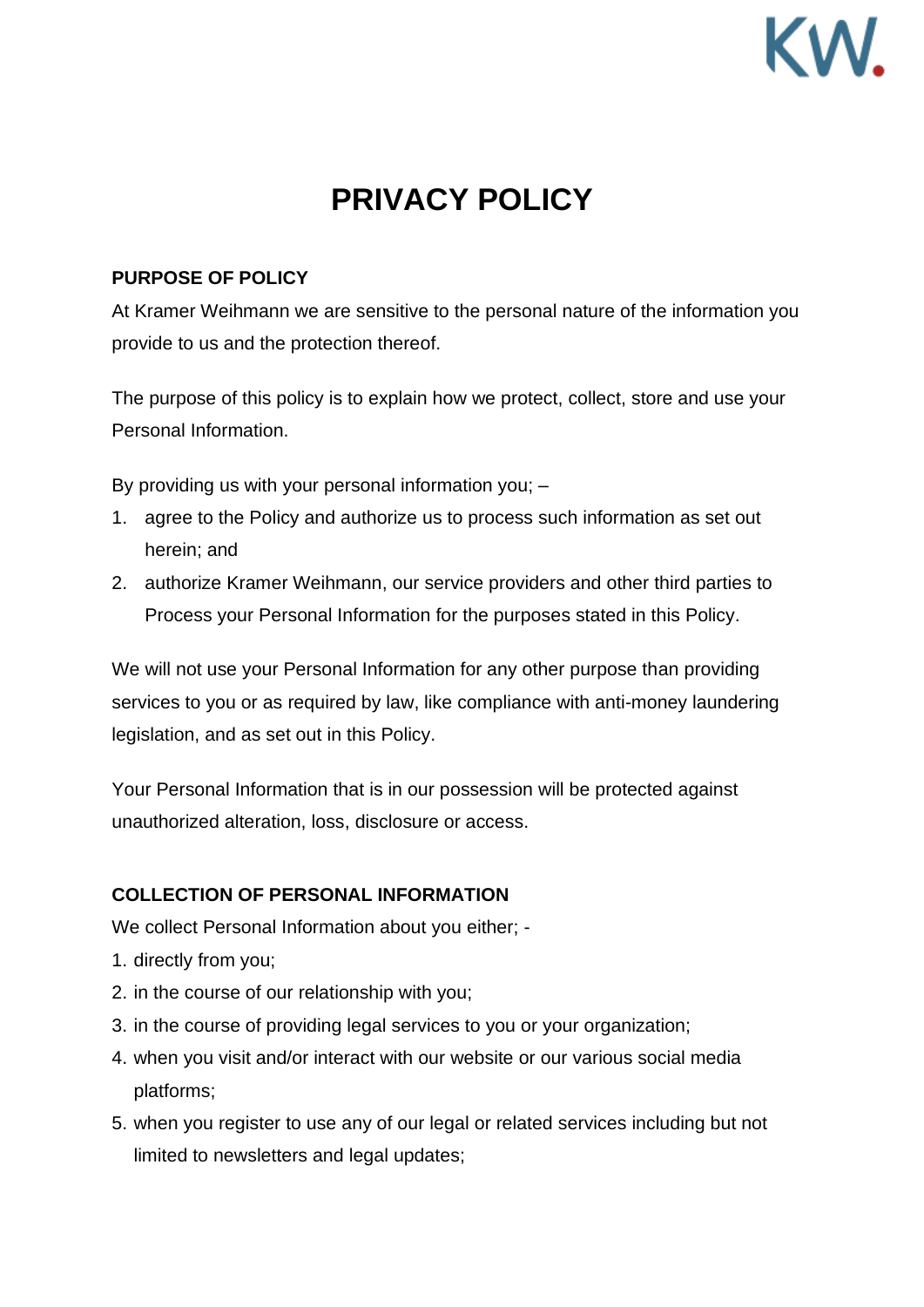# KW

# **PRIVACY POLICY**

## **PURPOSE OF POLICY**

At Kramer Weihmann we are sensitive to the personal nature of the information you provide to us and the protection thereof.

The purpose of this policy is to explain how we protect, collect, store and use your Personal Information.

By providing us with your personal information you; –

- 1. agree to the Policy and authorize us to process such information as set out herein; and
- 2. authorize Kramer Weihmann, our service providers and other third parties to Process your Personal Information for the purposes stated in this Policy.

We will not use your Personal Information for any other purpose than providing services to you or as required by law, like compliance with anti-money laundering legislation, and as set out in this Policy.

Your Personal Information that is in our possession will be protected against unauthorized alteration, loss, disclosure or access.

# **COLLECTION OF PERSONAL INFORMATION**

We collect Personal Information about you either; -

- 1. directly from you;
- 2. in the course of our relationship with you;
- 3. in the course of providing legal services to you or your organization;
- 4. when you visit and/or interact with our website or our various social media platforms;
- 5. when you register to use any of our legal or related services including but not limited to newsletters and legal updates;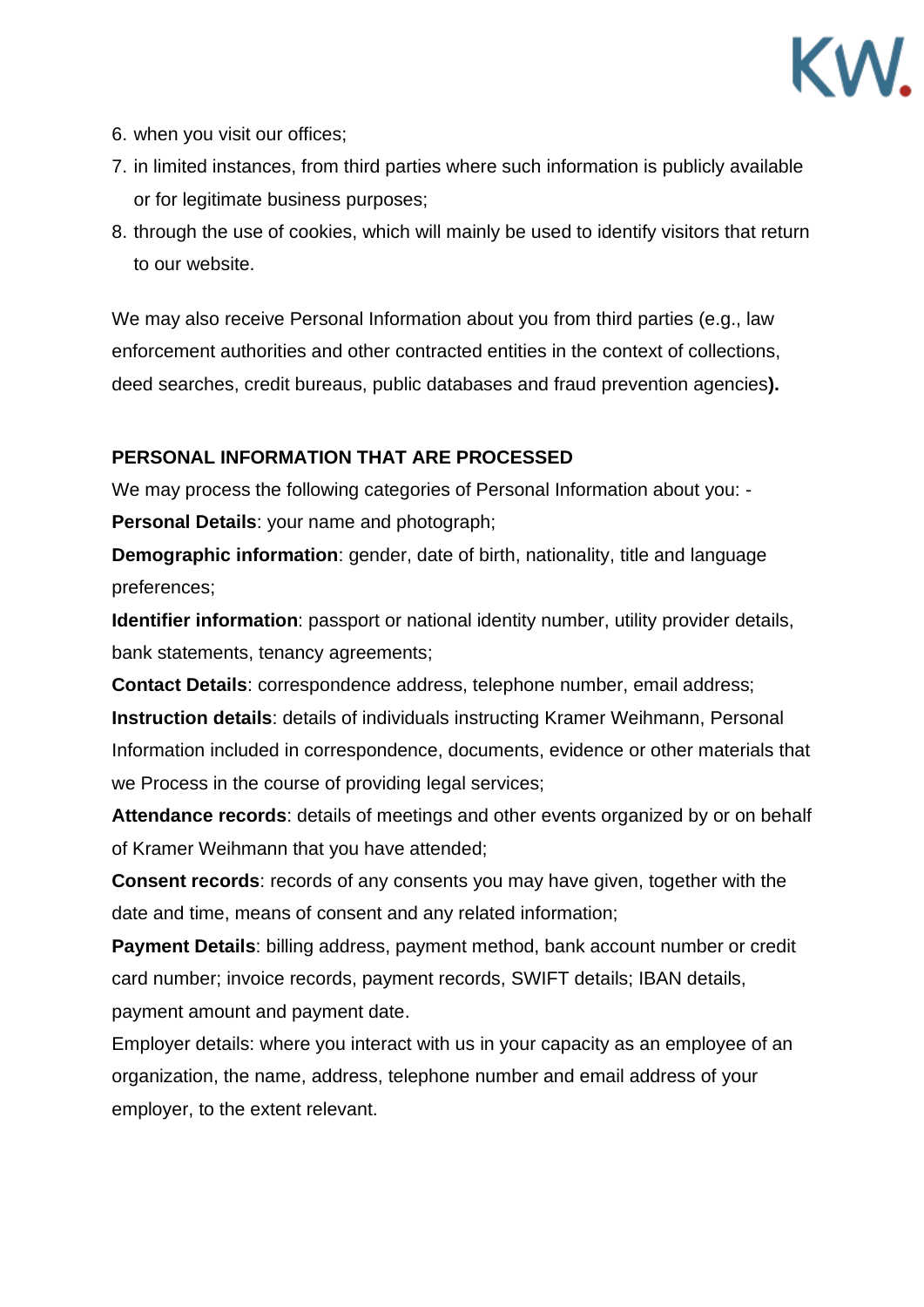

- 6. when you visit our offices;
- 7. in limited instances, from third parties where such information is publicly available or for legitimate business purposes;
- 8. through the use of cookies, which will mainly be used to identify visitors that return to our website.

We may also receive Personal Information about you from third parties (e.g., law enforcement authorities and other contracted entities in the context of collections, deed searches, credit bureaus, public databases and fraud prevention agencies**).**

#### **PERSONAL INFORMATION THAT ARE PROCESSED**

We may process the following categories of Personal Information about you: -

**Personal Details**: your name and photograph;

**Demographic information**: gender, date of birth, nationality, title and language preferences;

**Identifier information**: passport or national identity number, utility provider details, bank statements, tenancy agreements;

**Contact Details**: correspondence address, telephone number, email address; **Instruction details**: details of individuals instructing Kramer Weihmann, Personal Information included in correspondence, documents, evidence or other materials that we Process in the course of providing legal services;

**Attendance records**: details of meetings and other events organized by or on behalf of Kramer Weihmann that you have attended;

**Consent records**: records of any consents you may have given, together with the date and time, means of consent and any related information;

**Payment Details**: billing address, payment method, bank account number or credit card number; invoice records, payment records, SWIFT details; IBAN details, payment amount and payment date.

Employer details: where you interact with us in your capacity as an employee of an organization, the name, address, telephone number and email address of your employer, to the extent relevant.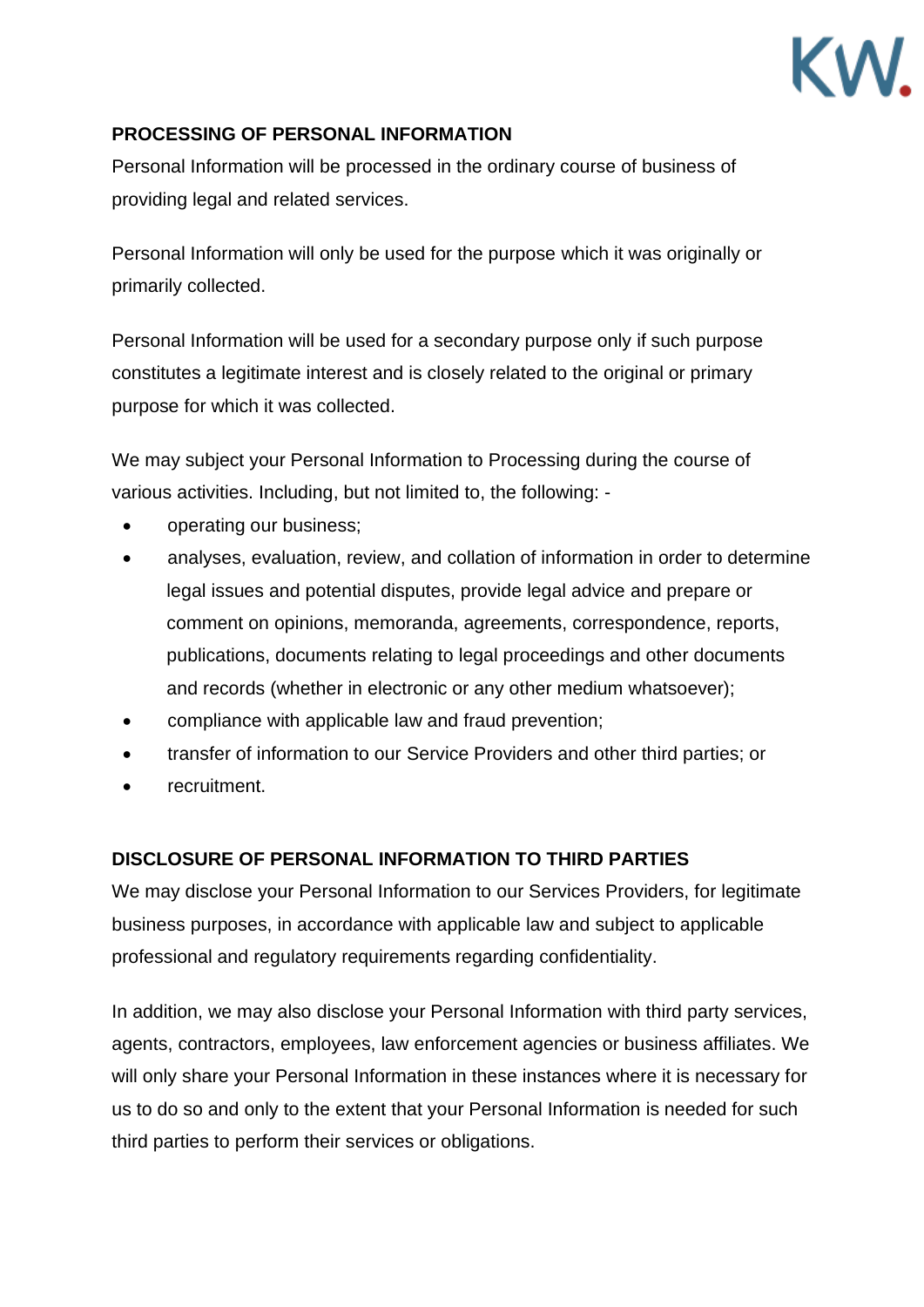

#### **PROCESSING OF PERSONAL INFORMATION**

Personal Information will be processed in the ordinary course of business of providing legal and related services.

Personal Information will only be used for the purpose which it was originally or primarily collected.

Personal Information will be used for a secondary purpose only if such purpose constitutes a legitimate interest and is closely related to the original or primary purpose for which it was collected.

We may subject your Personal Information to Processing during the course of various activities. Including, but not limited to, the following: -

- operating our business;
- analyses, evaluation, review, and collation of information in order to determine legal issues and potential disputes, provide legal advice and prepare or comment on opinions, memoranda, agreements, correspondence, reports, publications, documents relating to legal proceedings and other documents and records (whether in electronic or any other medium whatsoever);
- compliance with applicable law and fraud prevention;
- transfer of information to our Service Providers and other third parties; or
- recruitment.

#### **DISCLOSURE OF PERSONAL INFORMATION TO THIRD PARTIES**

We may disclose your Personal Information to our Services Providers, for legitimate business purposes, in accordance with applicable law and subject to applicable professional and regulatory requirements regarding confidentiality.

In addition, we may also disclose your Personal Information with third party services, agents, contractors, employees, law enforcement agencies or business affiliates. We will only share your Personal Information in these instances where it is necessary for us to do so and only to the extent that your Personal Information is needed for such third parties to perform their services or obligations.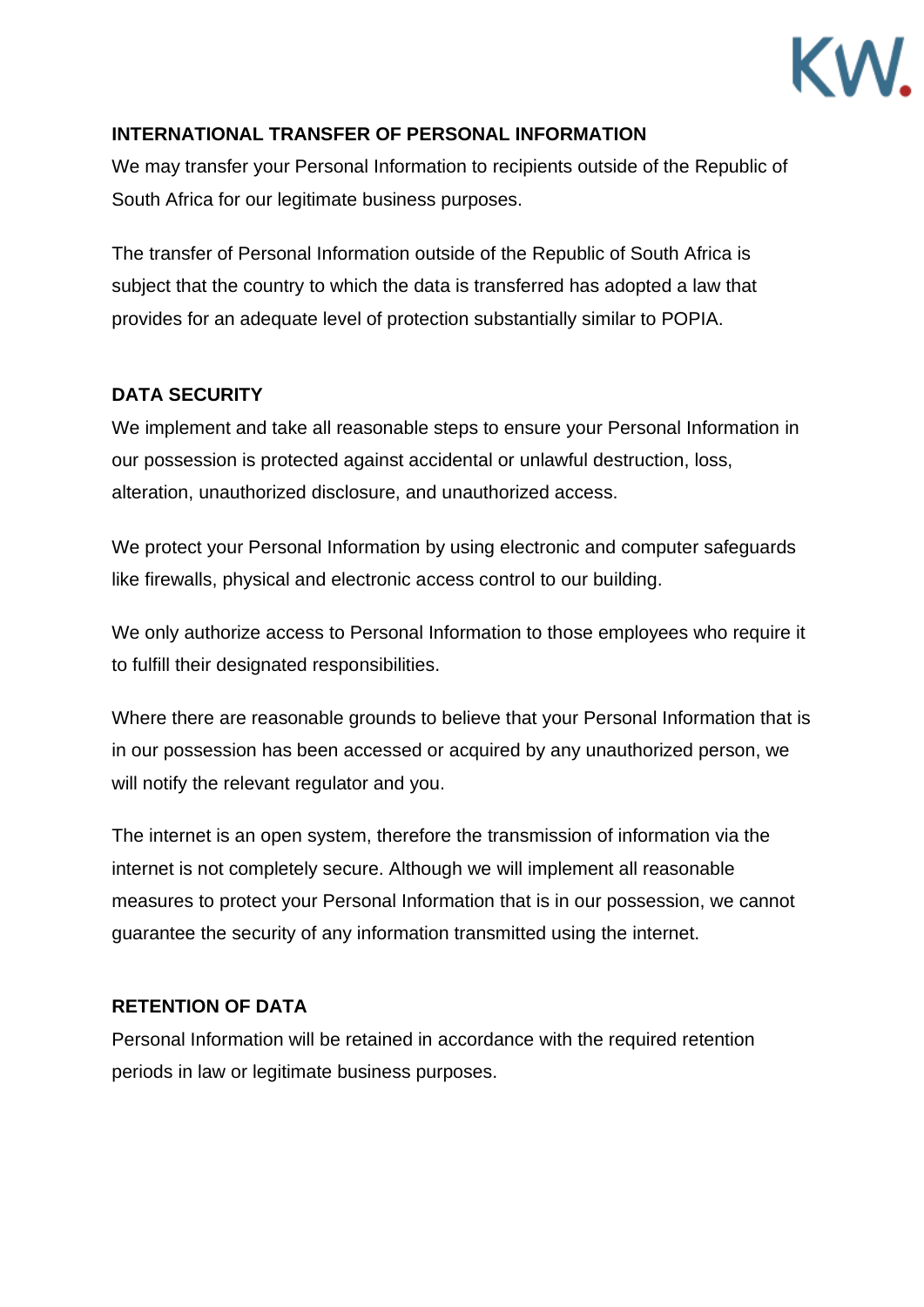

#### **INTERNATIONAL TRANSFER OF PERSONAL INFORMATION**

We may transfer your Personal Information to recipients outside of the Republic of South Africa for our legitimate business purposes.

The transfer of Personal Information outside of the Republic of South Africa is subject that the country to which the data is transferred has adopted a law that provides for an adequate level of protection substantially similar to POPIA.

#### **DATA SECURITY**

We implement and take all reasonable steps to ensure your Personal Information in our possession is protected against accidental or unlawful destruction, loss, alteration, unauthorized disclosure, and unauthorized access.

We protect your Personal Information by using electronic and computer safeguards like firewalls, physical and electronic access control to our building.

We only authorize access to Personal Information to those employees who require it to fulfill their designated responsibilities.

Where there are reasonable grounds to believe that your Personal Information that is in our possession has been accessed or acquired by any unauthorized person, we will notify the relevant regulator and you.

The internet is an open system, therefore the transmission of information via the internet is not completely secure. Although we will implement all reasonable measures to protect your Personal Information that is in our possession, we cannot guarantee the security of any information transmitted using the internet.

#### **RETENTION OF DATA**

Personal Information will be retained in accordance with the required retention periods in law or legitimate business purposes.